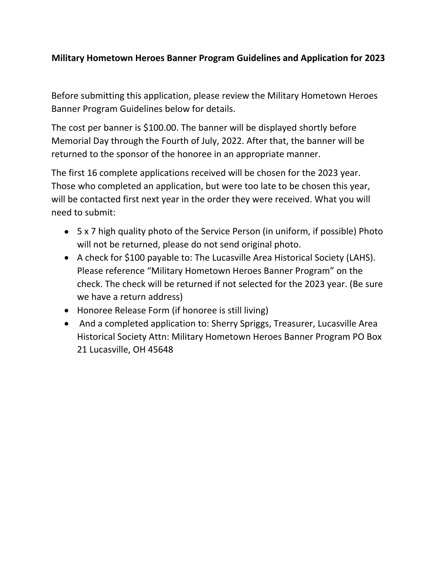## **Military Hometown Heroes Banner Program Guidelines and Application for 2023**

Before submitting this application, please review the Military Hometown Heroes Banner Program Guidelines below for details.

The cost per banner is \$100.00. The banner will be displayed shortly before Memorial Day through the Fourth of July, 2022. After that, the banner will be returned to the sponsor of the honoree in an appropriate manner.

The first 16 complete applications received will be chosen for the 2023 year. Those who completed an application, but were too late to be chosen this year, will be contacted first next year in the order they were received. What you will need to submit:

- 5 x 7 high quality photo of the Service Person (in uniform, if possible) Photo will not be returned, please do not send original photo.
- A check for \$100 payable to: The Lucasville Area Historical Society (LAHS). Please reference "Military Hometown Heroes Banner Program" on the check. The check will be returned if not selected for the 2023 year. (Be sure we have a return address)
- Honoree Release Form (if honoree is still living)
- And a completed application to: Sherry Spriggs, Treasurer, Lucasville Area Historical Society Attn: Military Hometown Heroes Banner Program PO Box 21 Lucasville, OH 45648